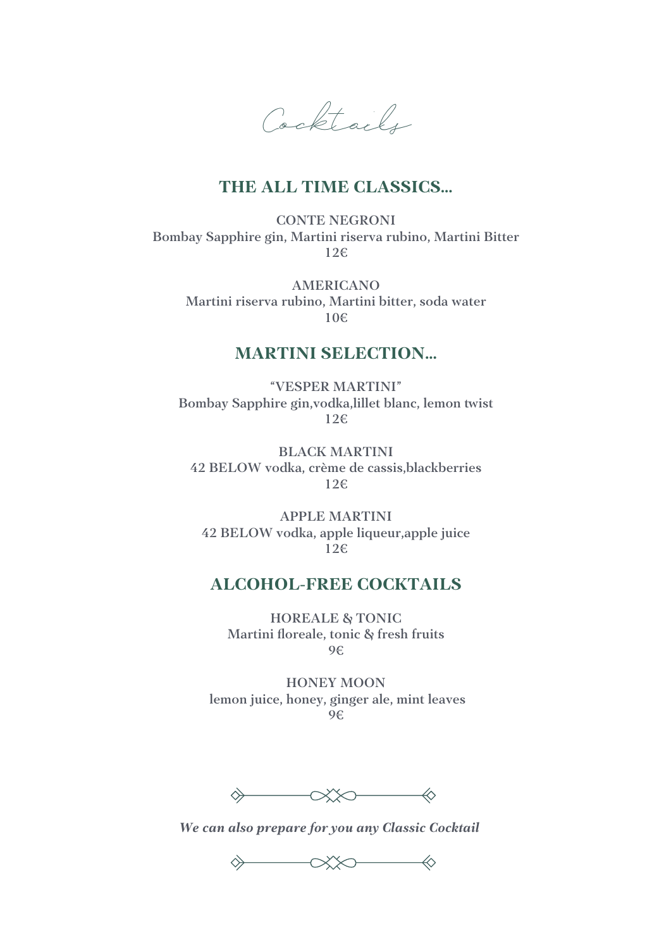Cocktails

#### **THE ALL TIME CLASSICS…**

CONTE NEGRONI Bombay Sapphire gin, Martini riserva rubino, Martini Bitter 12€

AMERICANO Martini riserva rubino, Martini bitter, soda water 10€

#### **MARTINI SELECTION…**

"VESPER MARTINI" Bombay Sapphire gin, vodka, lillet blanc, lemon twist 12€

BLACK MARTINI 42 BELOW vodka, crème de cassis,blackberries 12€

APPLE MARTINI 42 BELOW vodka, apple liqueur,apple juice 12€

#### **ALCOHOL-FREE COCKTAILS**

HOREALE & TONIC Martini floreale, tonic & fresh fruits 9€

HONEY MOON lemon juice, honey, ginger ale, mint leaves 9€

 $\qquad \qquad \ \ \, \diamondsuit \qquad \qquad \ \ \, \diamondsuit$ 

*We can also prepare for you any Classic Cocktail* 

 $\qquad \qquad \ \ \, \diamondsuit \qquad \qquad \ \ \, \diamondsuit$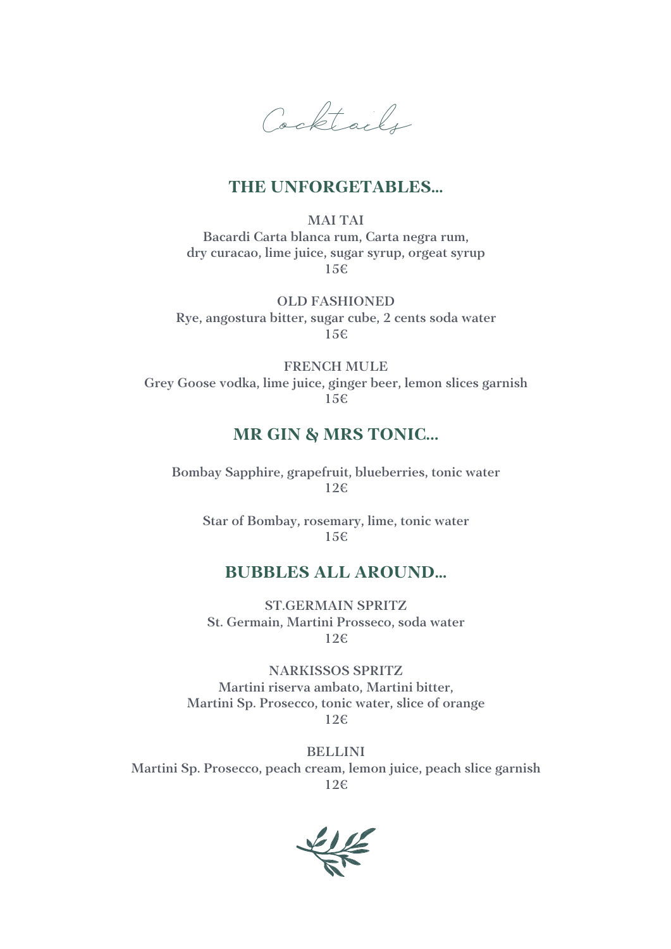Cocktails

#### **THE UNFORGETABLES…**

MAI TAI Bacardi Carta blanca rum, Carta negra rum, dry curacao, lime juice, sugar syrup, orgeat syrup 15€

OLD FASHIONED Rye, angostura bitter, sugar cube, 2 cents soda water 15€

FRENCH MULE Grey Goose vodka, lime juice, ginger beer, lemon slices garnish 15€

#### **MR GIN & MRS TONIC...**

Bombay Sapphire, grapefruit, blueberries, tonic water 12€

Star of Bombay, rosemary, lime, tonic water 15€

#### **BUBBLES ALL AROUND…**

ST.GERMAIN SPRITZ St. Germain, Martini Prosseco, soda water 12€

NARKISSOS SPRITZ Martini riserva ambato, Martini bitter, Martini Sp. Prosecco, tonic water, slice of orange 12€

BELLINI Martini Sp. Prosecco, peach cream, lemon juice, peach slice garnish 12€

 $\frac{1}{2}$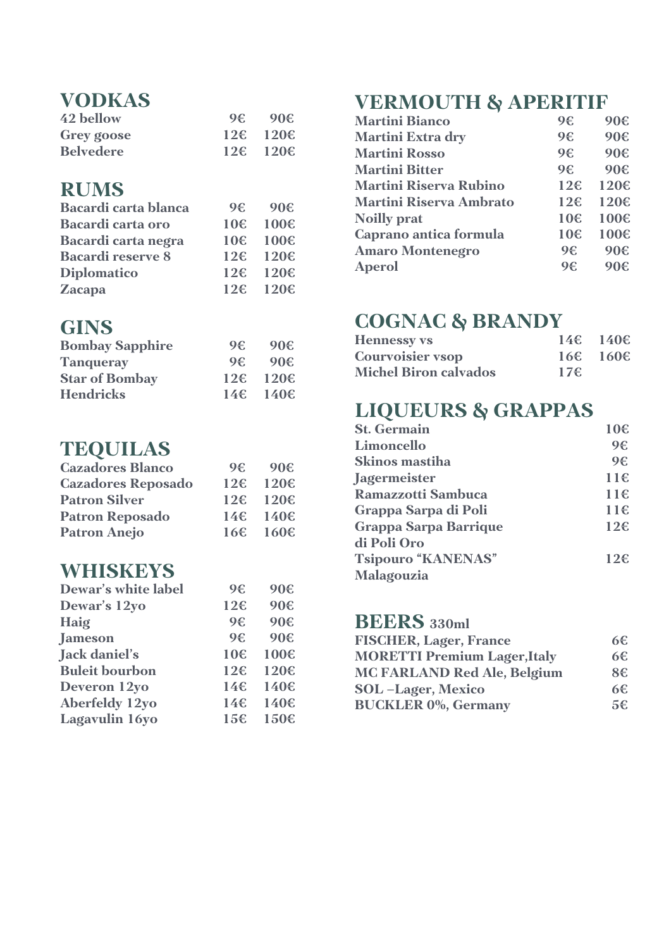### **VODKAS**

| 42 bellow         | $9 \in 90 \in$              |
|-------------------|-----------------------------|
| <b>Grey goose</b> | $12\epsilon$ 120 $\epsilon$ |
| <b>Belvedere</b>  | $12\epsilon$ 120 $\epsilon$ |

### **RUMS**

| <b>Bacardi carta blanca</b> | 9€. | 90 <sup>2</sup> |
|-----------------------------|-----|-----------------|
| <b>Bacardi</b> carta oro    |     | 10€ 100€        |
| Bacardi carta negra         |     | 10€ 100€        |
| <b>Bacardi reserve 8</b>    |     | 12€ 120€        |
| <b>Diplomatico</b>          |     | 12€ 120€        |
| <b>Zacapa</b>               |     | 12€ 120€        |

#### **GINS**

| <b>Bombay Sapphire</b> | 96  | 90€            |
|------------------------|-----|----------------|
| <b>Tanqueray</b>       | 96  | 90€            |
| <b>Star of Bombay</b>  | 126 | $120 \epsilon$ |
| <b>Hendricks</b>       |     | 14€ 140€       |

### **TEQUILAS**

| <b>Cazadores Blanco</b>   | 9€. | 90€      |
|---------------------------|-----|----------|
| <b>Cazadores Reposado</b> |     | 12€ 120€ |
| <b>Patron Silver</b>      |     | 12€ 120€ |
| <b>Patron Reposado</b>    |     | 14€ 140€ |
| <b>Patron Anejo</b>       |     | 16€ 160€ |

### **WHISKEYS**

| <b>Dewar's white label</b> | 9€              | 90€  |
|----------------------------|-----------------|------|
| Dewar's 12yo               | 12€             | 90€  |
| Haig                       | 9€              | 90€  |
| <b>Jameson</b>             | 9€              | 90€  |
| Jack daniel's              | 10€             | 100€ |
| <b>Buleit bourbon</b>      | 12 <sup>ε</sup> | 120€ |
| Deveron 12yo               | 14€             | 140€ |
| <b>Aberfeldy 12yo</b>      | 146             | 140€ |
| Lagavulin 16yo             | 15 <sup>ε</sup> | 150€ |

## **VERMOUTH & APERITIF**

| <b>Martini Bianco</b>          | 9€              | 90€  |
|--------------------------------|-----------------|------|
| <b>Martini Extra dry</b>       | 9€              | 90€  |
| <b>Martini Rosso</b>           | 9€              | 90€  |
| <b>Martini Bitter</b>          | 9€              | 90€  |
| <b>Martini Riserva Rubino</b>  | 12 <sup>ε</sup> | 120€ |
| <b>Martini Riserva Ambrato</b> | 12 <sup>ε</sup> | 120€ |
| <b>Noilly prat</b>             | 10€             | 100€ |
| Caprano antica formula         | 10€             | 100€ |
| <b>Amaro Montenegro</b>        | 9€              | 90€  |
| <b>Aperol</b>                  | 9€              | 90€  |
|                                |                 |      |

# **COGNAC & BRANDY**

| <b>Hennessy vs</b>           |     | $146 \quad 1406$ |
|------------------------------|-----|------------------|
| <b>Courvoisier vsop</b>      |     | $166 - 1606$     |
| <b>Michel Biron calvados</b> | 17€ |                  |

# **LIQUEURS & GRAPPAS**

| <b>St. Germain</b>           | 10€             |
|------------------------------|-----------------|
| Limoncello                   | 9€              |
| <b>Skinos mastiha</b>        | 9€              |
| <b>Jagermeister</b>          | 11€             |
| <b>Ramazzotti Sambuca</b>    | 116             |
| Grappa Sarpa di Poli         | 116             |
| <b>Grappa Sarpa Barrique</b> | 12 <sup>ε</sup> |
| di Poli Oro                  |                 |
| <b>Tsipouro "KANENAS"</b>    | $12 \epsilon$   |
| Malagouzia                   |                 |

### **BEERS 330ml**

| <b>FISCHER, Lager, France</b>       | 6€. |
|-------------------------------------|-----|
| <b>MORETTI Premium Lager, Italy</b> | 6€  |
| <b>MC FARLAND Red Ale, Belgium</b>  | 8€  |
| <b>SOL</b> -Lager, Mexico           | 6€. |
| <b>BUCKLER 0%, Germany</b>          | 5€. |